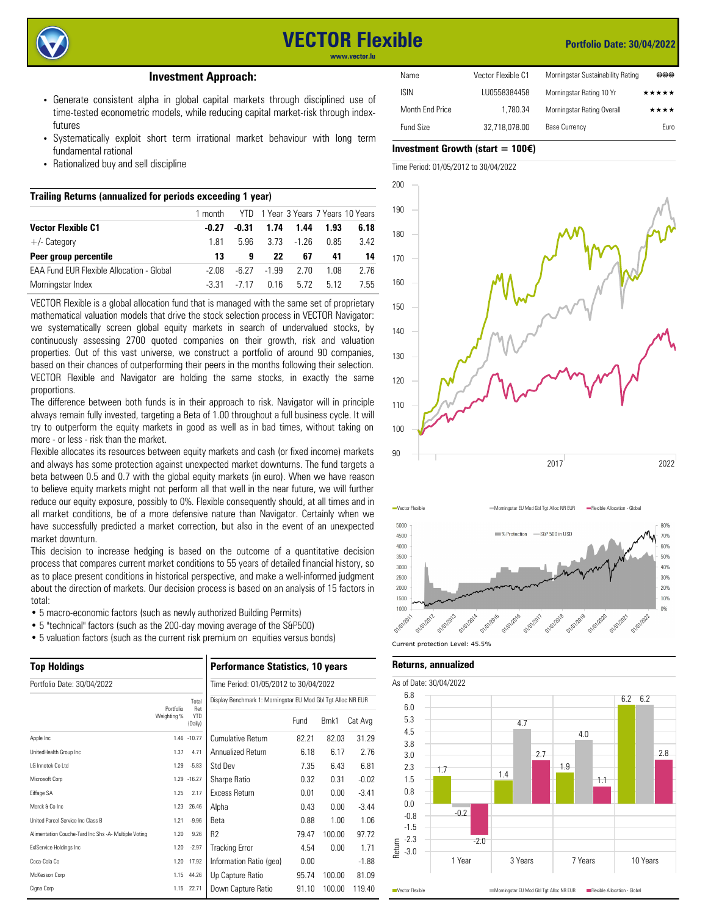

# **VECTOR Flexible**

#### **Portfolio Date: 30/04/2022**

**www.vector.lu**

#### **Investment Approach:**

- Generate consistent alpha in global capital markets through disciplined use of time-tested econometric models, while reducing capital market-risk through indexfutures
- Systematically exploit short term irrational market behaviour with long term fundamental rational
- Rationalized buy and sell discipline

### **Trailing Returns (annualized for periods exceeding 1 year)**

|                                                  | 1 month |       |       |        | YTD 1 Year 3 Years 7 Years 10 Years |      |
|--------------------------------------------------|---------|-------|-------|--------|-------------------------------------|------|
| <b>Vector Flexible C1</b>                        | -0.27   | -0.31 | 1.74  | 1.44   | 1.93                                | 6.18 |
| $+/-$ Category                                   | 1 81    | 5.96  | 3 73  | -1 26  | 0.85                                | 3.42 |
| Peer group percentile                            | 13      | 9     | 22    | 67     | 41                                  | 14   |
| <b>FAA Fund FUR Flexible Allocation - Global</b> | -2.08   | -6.27 | -1.99 | - 2.70 | 1.08                                | 2.76 |
| Morningstar Index                                | -3.31   | -7.17 | በ 16  | 5.72   | 5.12                                | 7.55 |

VECTOR Flexible is a global allocation fund that is managed with the same set of proprietary mathematical valuation models that drive the stock selection process in VECTOR Navigator: we systematically screen global equity markets in search of undervalued stocks, by continuously assessing 2700 quoted companies on their growth, risk and valuation properties. Out of this vast universe, we construct a portfolio of around 90 companies, based on their chances of outperforming their peers in the months following their selection. VECTOR Flexible and Navigator are holding the same stocks, in exactly the same proportions.

The difference between both funds is in their approach to risk. Navigator will in principle always remain fully invested, targeting a Beta of 1.00 throughout a full business cycle. It will try to outperform the equity markets in good as well as in bad times, without taking on more - or less - risk than the market.

Flexible allocates its resources between equity markets and cash (or fixed income) markets and always has some protection against unexpected market downturns. The fund targets a beta between 0.5 and 0.7 with the global equity markets (in euro). When we have reason to believe equity markets might not perform all that well in the near future, we will further reduce our equity exposure, possibly to 0%. Flexible consequently should, at all times and in all market conditions, be of a more defensive nature than Navigator. Certainly when we have successfully predicted a market correction, but also in the event of an unexpected market downturn.

This decision to increase hedging is based on the outcome of a quantitative decision process that compares current market conditions to 55 years of detailed financial history, so as to place present conditions in historical perspective, and make a well-informed judgment about the direction of markets. Our decision process is based on an analysis of 15 factors in total:

- 5 macro-economic factors (such as newly authorized Building Permits)
- 5 "technical" factors (such as the 200-day moving average of the S&P500)
- 5 valuation factors (such as the current risk premium on equities versus bonds)

| <b>Top Holdings</b><br>Portfolio Date: 30/04/2022    |             |                       | <b>Performance Statistics, 10 years</b>                      |       |        |         |  |
|------------------------------------------------------|-------------|-----------------------|--------------------------------------------------------------|-------|--------|---------|--|
|                                                      |             |                       | Time Period: 01/05/2012 to 30/04/2022                        |       |        |         |  |
|                                                      | Portfolio   | Total<br>Ret          | Display Benchmark 1: Morningstar EU Mod Gbl Tgt Alloc NR EUR |       |        |         |  |
|                                                      | Weighting % | <b>YTD</b><br>(Daily) |                                                              | Fund  | Bmk1   | Cat Avg |  |
| Apple Inc                                            |             | 1.46 -10.77           | Cumulative Return                                            | 82.21 | 82.03  | 31.29   |  |
| UnitedHealth Group Inc                               | 1.37        | 4.71                  | Annualized Return                                            | 6.18  | 6.17   | 2.76    |  |
| I G Innotek Co I td                                  | 1.29        | $-5.83$               | Std Dev                                                      | 7.35  | 6.43   | 6.81    |  |
| Microsoft Corp                                       |             | 1.29 - 16.27          | Sharpe Ratio                                                 | 0.32  | 0.31   | $-0.02$ |  |
| Eiffage SA                                           | 1.25        | 2.17                  | <b>Excess Return</b>                                         | 0.01  | 0.00   | $-3.41$ |  |
| Merck & Co Inc                                       | 1.23        | 26.46                 | Alpha                                                        | 0.43  | 0.00   | $-3.44$ |  |
| United Parcel Service Inc Class B                    | 1.21        | $-9.96$               | <b>Beta</b>                                                  | 0.88  | 1.00   | 1.06    |  |
| Alimentation Couche-Tard Inc Shs -A- Multiple Voting | 1.20        | 9.26                  | R <sub>2</sub>                                               | 79.47 | 100.00 | 97.72   |  |
| <b>ExIService Holdings Inc</b>                       | 1.20        | $-2.97$               | <b>Tracking Error</b>                                        | 4.54  | 0.00   | 1.71    |  |
| Coca-Cola Co                                         | 1.20        | 17.92                 | Information Ratio (geo)                                      | 0.00  |        | $-1.88$ |  |
| McKesson Corp                                        | 1.15        | 44.26                 | Up Capture Ratio                                             | 95.74 | 100.00 | 81.09   |  |
| Cigna Corp                                           | 1.15        | 22.71                 | Down Capture Ratio                                           | 91.10 | 100.00 | 119.40  |  |

| Name            | Vector Flexible C1 | Morningstar Sustainability Rating | 曲曲曲   |
|-----------------|--------------------|-----------------------------------|-------|
| isin            | LU0558384458       | Morningstar Rating 10 Yr          | ***** |
| Month End Price | 1.780.34           | Morningstar Rating Overall        | ****  |
| Fund Size       | 32.718.078.00      | <b>Base Currency</b>              | Euro  |
|                 |                    |                                   |       |

## **Investment Growth (start = 100**€**)**